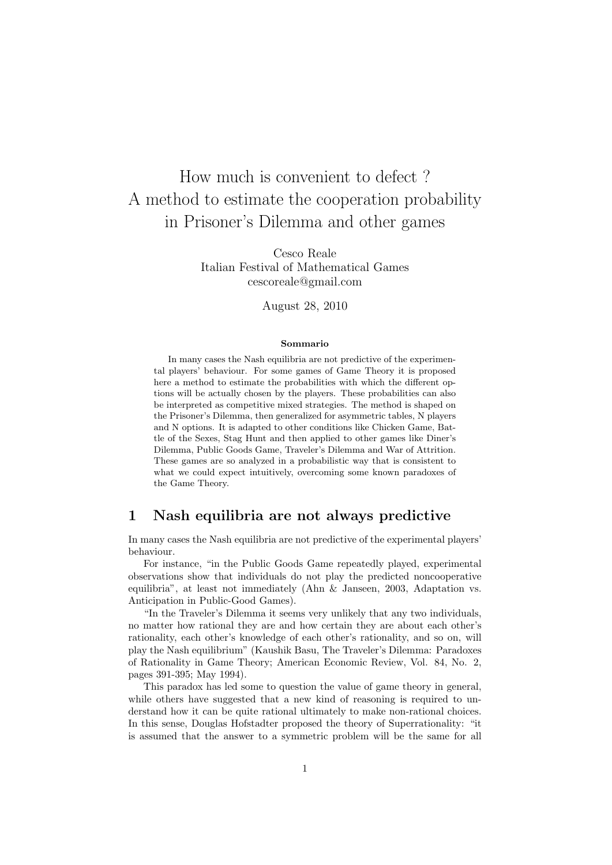# How much is convenient to defect ? A method to estimate the cooperation probability in Prisoner's Dilemma and other games

Cesco Reale Italian Festival of Mathematical Games cescoreale@gmail.com

August 28, 2010

#### Sommario

In many cases the Nash equilibria are not predictive of the experimental players' behaviour. For some games of Game Theory it is proposed here a method to estimate the probabilities with which the different options will be actually chosen by the players. These probabilities can also be interpreted as competitive mixed strategies. The method is shaped on the Prisoner's Dilemma, then generalized for asymmetric tables, N players and N options. It is adapted to other conditions like Chicken Game, Battle of the Sexes, Stag Hunt and then applied to other games like Diner's Dilemma, Public Goods Game, Traveler's Dilemma and War of Attrition. These games are so analyzed in a probabilistic way that is consistent to what we could expect intuitively, overcoming some known paradoxes of the Game Theory.

#### 1 Nash equilibria are not always predictive

In many cases the Nash equilibria are not predictive of the experimental players' behaviour.

For instance, "in the Public Goods Game repeatedly played, experimental observations show that individuals do not play the predicted noncooperative equilibria", at least not immediately (Ahn & Janseen, 2003, Adaptation vs. Anticipation in Public-Good Games).

"In the Traveler's Dilemma it seems very unlikely that any two individuals, no matter how rational they are and how certain they are about each other's rationality, each other's knowledge of each other's rationality, and so on, will play the Nash equilibrium" (Kaushik Basu, The Traveler's Dilemma: Paradoxes of Rationality in Game Theory; American Economic Review, Vol. 84, No. 2, pages 391-395; May 1994).

This paradox has led some to question the value of game theory in general, while others have suggested that a new kind of reasoning is required to understand how it can be quite rational ultimately to make non-rational choices. In this sense, Douglas Hofstadter proposed the theory of Superrationality: "it is assumed that the answer to a symmetric problem will be the same for all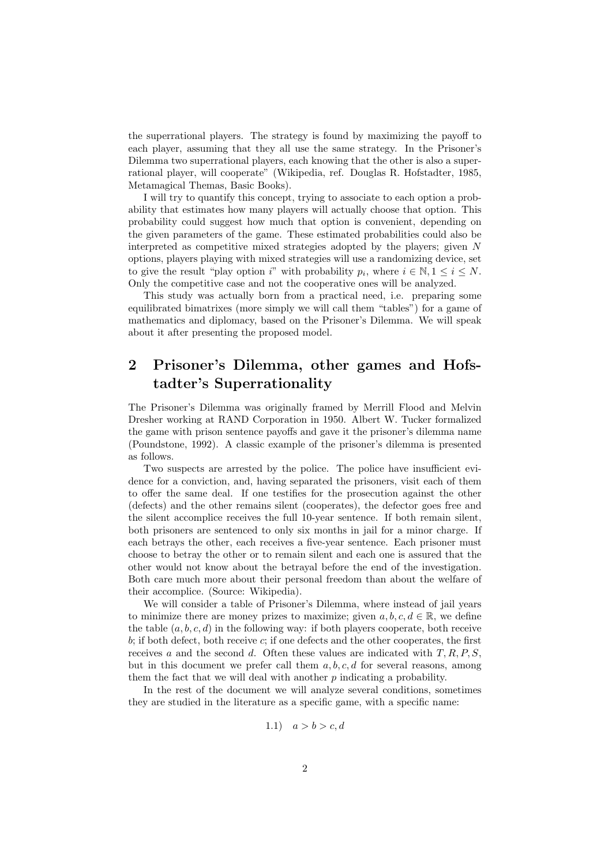the superrational players. The strategy is found by maximizing the payoff to each player, assuming that they all use the same strategy. In the Prisoner's Dilemma two superrational players, each knowing that the other is also a superrational player, will cooperate" (Wikipedia, ref. Douglas R. Hofstadter, 1985, Metamagical Themas, Basic Books).

I will try to quantify this concept, trying to associate to each option a probability that estimates how many players will actually choose that option. This probability could suggest how much that option is convenient, depending on the given parameters of the game. These estimated probabilities could also be interpreted as competitive mixed strategies adopted by the players; given N options, players playing with mixed strategies will use a randomizing device, set to give the result "play option i" with probability  $p_i$ , where  $i \in \mathbb{N}, 1 \leq i \leq N$ . Only the competitive case and not the cooperative ones will be analyzed.

This study was actually born from a practical need, i.e. preparing some equilibrated bimatrixes (more simply we will call them "tables") for a game of mathematics and diplomacy, based on the Prisoner's Dilemma. We will speak about it after presenting the proposed model.

# 2 Prisoner's Dilemma, other games and Hofstadter's Superrationality

The Prisoner's Dilemma was originally framed by Merrill Flood and Melvin Dresher working at RAND Corporation in 1950. Albert W. Tucker formalized the game with prison sentence payoffs and gave it the prisoner's dilemma name (Poundstone, 1992). A classic example of the prisoner's dilemma is presented as follows.

Two suspects are arrested by the police. The police have insufficient evidence for a conviction, and, having separated the prisoners, visit each of them to offer the same deal. If one testifies for the prosecution against the other (defects) and the other remains silent (cooperates), the defector goes free and the silent accomplice receives the full 10-year sentence. If both remain silent, both prisoners are sentenced to only six months in jail for a minor charge. If each betrays the other, each receives a five-year sentence. Each prisoner must choose to betray the other or to remain silent and each one is assured that the other would not know about the betrayal before the end of the investigation. Both care much more about their personal freedom than about the welfare of their accomplice. (Source: Wikipedia).

We will consider a table of Prisoner's Dilemma, where instead of jail years to minimize there are money prizes to maximize; given  $a, b, c, d \in \mathbb{R}$ , we define the table  $(a, b, c, d)$  in the following way: if both players cooperate, both receive  $b$ ; if both defect, both receive  $c$ ; if one defects and the other cooperates, the first receives a and the second d. Often these values are indicated with  $T, R, P, S$ , but in this document we prefer call them  $a, b, c, d$  for several reasons, among them the fact that we will deal with another  $p$  indicating a probability.

In the rest of the document we will analyze several conditions, sometimes they are studied in the literature as a specific game, with a specific name:

$$
1.1) \quad a > b > c, d
$$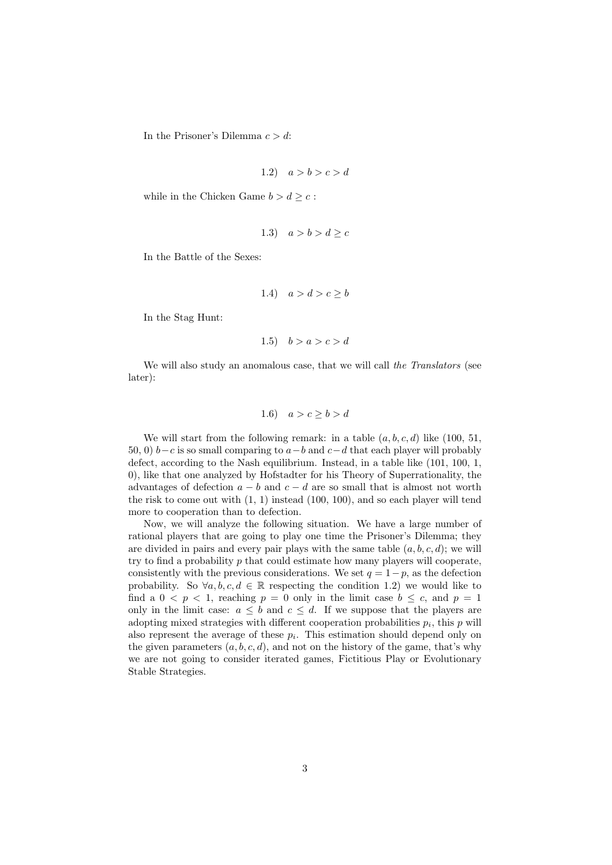In the Prisoner's Dilemma  $c > d$ :

$$
1.2) \quad a > b > c > d
$$

while in the Chicken Game  $b > d \geq c$ :

$$
1.3) \quad a > b > d \geq c
$$

In the Battle of the Sexes:

$$
1.4) \quad a > d > c \ge b
$$

In the Stag Hunt:

$$
1.5) \quad b > a > c > d
$$

We will also study an anomalous case, that we will call the Translators (see later):

#### 1.6)  $a > c \ge b > d$

We will start from the following remark: in a table  $(a, b, c, d)$  like  $(100, 51,$ 50, 0)  $b-c$  is so small comparing to  $a-b$  and  $c-d$  that each player will probably defect, according to the Nash equilibrium. Instead, in a table like (101, 100, 1, 0), like that one analyzed by Hofstadter for his Theory of Superrationality, the advantages of defection  $a - b$  and  $c - d$  are so small that is almost not worth the risk to come out with (1, 1) instead (100, 100), and so each player will tend more to cooperation than to defection.

Now, we will analyze the following situation. We have a large number of rational players that are going to play one time the Prisoner's Dilemma; they are divided in pairs and every pair plays with the same table  $(a, b, c, d)$ ; we will try to find a probability p that could estimate how many players will cooperate, consistently with the previous considerations. We set  $q = 1-p$ , as the defection probability. So  $\forall a, b, c, d \in \mathbb{R}$  respecting the condition 1.2) we would like to find a  $0 < p < 1$ , reaching  $p = 0$  only in the limit case  $b \leq c$ , and  $p = 1$ only in the limit case:  $a \leq b$  and  $c \leq d$ . If we suppose that the players are adopting mixed strategies with different cooperation probabilities  $p_i$ , this  $p$  will also represent the average of these  $p_i$ . This estimation should depend only on the given parameters  $(a, b, c, d)$ , and not on the history of the game, that's why we are not going to consider iterated games, Fictitious Play or Evolutionary Stable Strategies.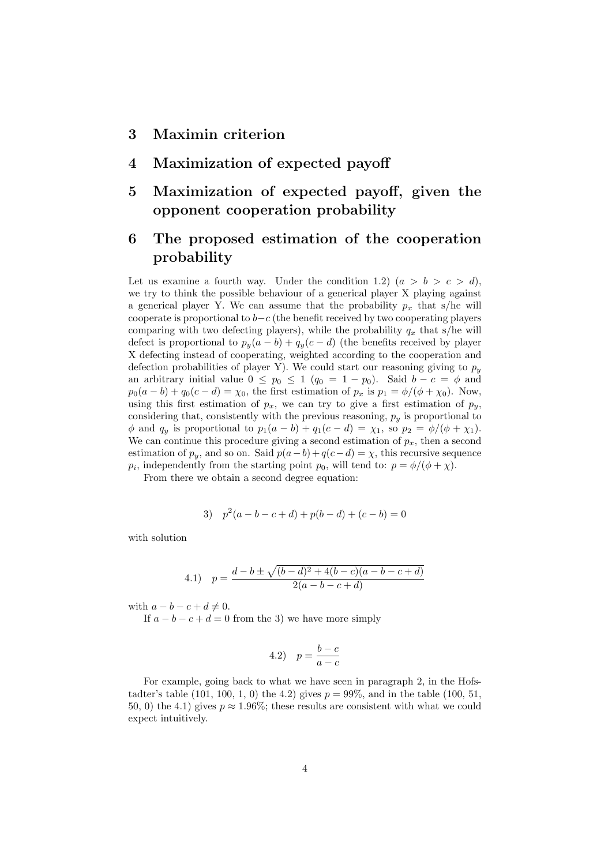### 3 Maximin criterion

- 4 Maximization of expected payoff
- 5 Maximization of expected payoff, given the opponent cooperation probability

## 6 The proposed estimation of the cooperation probability

Let us examine a fourth way. Under the condition 1.2)  $(a > b > c > d)$ , we try to think the possible behaviour of a generical player X playing against a generical player Y. We can assume that the probability  $p_x$  that s/he will cooperate is proportional to  $b-c$  (the benefit received by two cooperating players comparing with two defecting players), while the probability  $q_x$  that s/he will defect is proportional to  $p_y(a - b) + q_y(c - d)$  (the benefits received by player X defecting instead of cooperating, weighted according to the cooperation and defection probabilities of player Y). We could start our reasoning giving to  $p_y$ an arbitrary initial value  $0 \leq p_0 \leq 1$   $(q_0 = 1 - p_0)$ . Said  $b - c = \phi$  and  $p_0(a - b) + q_0(c - d) = \chi_0$ , the first estimation of  $p_x$  is  $p_1 = \phi/(\phi + \chi_0)$ . Now, using this first estimation of  $p_x$ , we can try to give a first estimation of  $p_y$ , considering that, consistently with the previous reasoning,  $p_y$  is proportional to  $\phi$  and  $q_y$  is proportional to  $p_1(a - b) + q_1(c - d) = \chi_1$ , so  $p_2 = \phi/(\phi + \chi_1)$ . We can continue this procedure giving a second estimation of  $p_x$ , then a second estimation of  $p_y$ , and so on. Said  $p(a - b) + q(c - d) = \chi$ , this recursive sequence  $p_i$ , independently from the starting point  $p_0$ , will tend to:  $p = \phi/(\phi + \chi)$ .

From there we obtain a second degree equation:

3) 
$$
p^2(a-b-c+d) + p(b-d) + (c-b) = 0
$$

with solution

4.1) 
$$
p = \frac{d-b \pm \sqrt{(b-d)^2 + 4(b-c)(a-b-c+d)}}{2(a-b-c+d)}
$$

with  $a - b - c + d \neq 0$ .

If  $a - b - c + d = 0$  from the 3) we have more simply

$$
4.2) \quad p = \frac{b-c}{a-c}
$$

For example, going back to what we have seen in paragraph 2, in the Hofstadter's table (101, 100, 1, 0) the 4.2) gives  $p = 99\%$ , and in the table (100, 51, 50, 0) the 4.1) gives  $p \approx 1.96\%$ ; these results are consistent with what we could expect intuitively.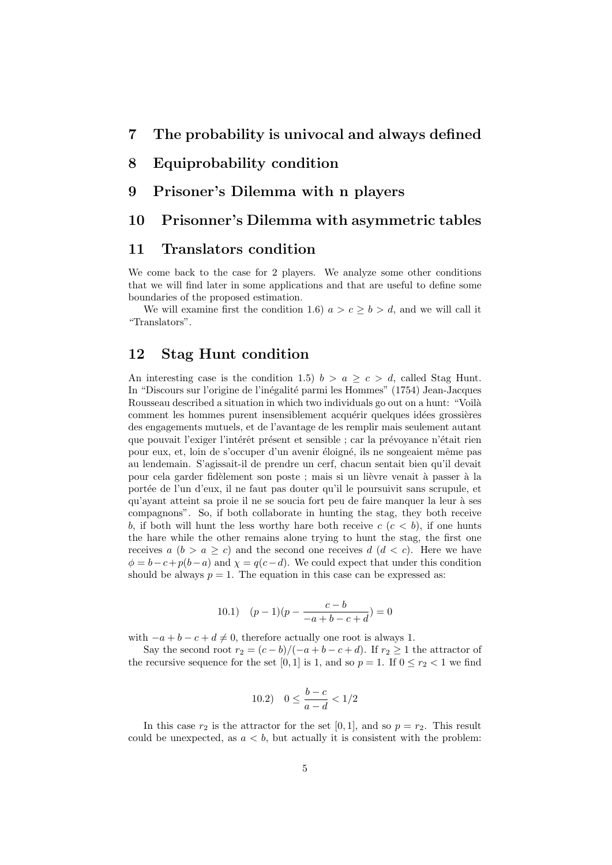#### 8 Equiprobability condition

#### 9 Prisoner's Dilemma with n players

#### 10 Prisonner's Dilemma with asymmetric tables

#### 11 Translators condition

We come back to the case for 2 players. We analyze some other conditions that we will find later in some applications and that are useful to define some boundaries of the proposed estimation.

We will examine first the condition 1.6)  $a > c > b > d$ , and we will call it "Translators".

## 12 Stag Hunt condition

An interesting case is the condition 1.5)  $b > a \geq c > d$ , called Stag Hunt. In "Discours sur l'origine de l'inégalité parmi les Hommes" (1754) Jean-Jacques Rousseau described a situation in which two individuals go out on a hunt: "Voilà comment les hommes purent insensiblement acquérir quelques idées grossières des engagements mutuels, et de l'avantage de les remplir mais seulement autant que pouvait l'exiger l'intérêt présent et sensible ; car la prévoyance n'était rien pour eux, et, loin de s'occuper d'un avenir éloigné, ils ne songeaient même pas au lendemain. S'agissait-il de prendre un cerf, chacun sentait bien qu'il devait pour cela garder fidèlement son poste ; mais si un lièvre venait à passer à la portée de l'un d'eux, il ne faut pas douter qu'il le poursuivit sans scrupule, et qu'avant atteint sa proie il ne se soucia fort peu de faire manquer la leur à ses compagnons". So, if both collaborate in hunting the stag, they both receive b, if both will hunt the less worthy hare both receive  $c (c < b)$ , if one hunts the hare while the other remains alone trying to hunt the stag, the first one receives  $a (b > a \geq c)$  and the second one receives  $d (d < c)$ . Here we have  $\phi = b - c + p(b - a)$  and  $\chi = q(c - d)$ . We could expect that under this condition should be always  $p = 1$ . The equation in this case can be expressed as:

10.1) 
$$
(p-1)(p - \frac{c-b}{-a+b-c+d}) = 0
$$

with  $-a + b - c + d \neq 0$ , therefore actually one root is always 1.

Say the second root  $r_2 = (c - b)/(-a + b - c + d)$ . If  $r_2 \ge 1$  the attractor of the recursive sequence for the set [0, 1] is 1, and so  $p = 1$ . If  $0 \le r_2 < 1$  we find

10.2) 
$$
0 \le \frac{b-c}{a-d} < 1/2
$$

In this case  $r_2$  is the attractor for the set [0, 1], and so  $p = r_2$ . This result could be unexpected, as  $a < b$ , but actually it is consistent with the problem: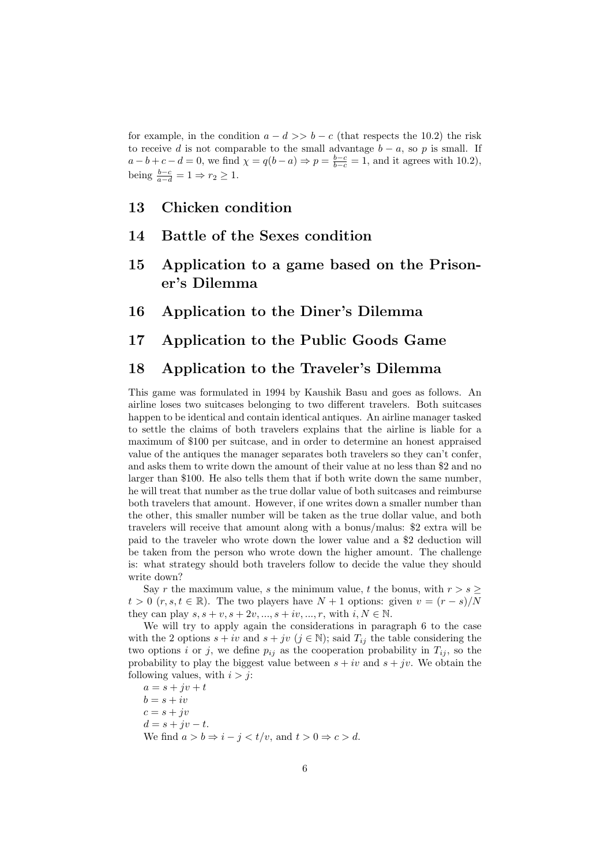for example, in the condition  $a - d \gg b - c$  (that respects the 10.2) the risk to receive d is not comparable to the small advantage  $b - a$ , so p is small. If  $a - b + c - d = 0$ , we find  $\chi = q(b - a) \Rightarrow p = \frac{b - c}{b - c} = 1$ , and it agrees with 10.2), being  $\frac{b-c}{a-d} = 1 \Rightarrow r_2 \geq 1$ .

### 13 Chicken condition

- 14 Battle of the Sexes condition
- 15 Application to a game based on the Prisoner's Dilemma
- 16 Application to the Diner's Dilemma

#### 17 Application to the Public Goods Game

#### 18 Application to the Traveler's Dilemma

This game was formulated in 1994 by Kaushik Basu and goes as follows. An airline loses two suitcases belonging to two different travelers. Both suitcases happen to be identical and contain identical antiques. An airline manager tasked to settle the claims of both travelers explains that the airline is liable for a maximum of \$100 per suitcase, and in order to determine an honest appraised value of the antiques the manager separates both travelers so they can't confer, and asks them to write down the amount of their value at no less than \$2 and no larger than \$100. He also tells them that if both write down the same number, he will treat that number as the true dollar value of both suitcases and reimburse both travelers that amount. However, if one writes down a smaller number than the other, this smaller number will be taken as the true dollar value, and both travelers will receive that amount along with a bonus/malus: \$2 extra will be paid to the traveler who wrote down the lower value and a \$2 deduction will be taken from the person who wrote down the higher amount. The challenge is: what strategy should both travelers follow to decide the value they should write down?

Say r the maximum value, s the minimum value, t the bonus, with  $r > s \geq$  $t > 0$  (r, s,  $t \in \mathbb{R}$ ). The two players have  $N + 1$  options: given  $v = (r - s)/N$ they can play  $s, s + v, s + 2v, ..., s + iv, ..., r$ , with  $i, N \in \mathbb{N}$ .

We will try to apply again the considerations in paragraph 6 to the case with the 2 options  $s + iv$  and  $s + jv$   $(j \in \mathbb{N})$ ; said  $T_{ij}$  the table considering the two options i or j, we define  $p_{ij}$  as the cooperation probability in  $T_{ij}$ , so the probability to play the biggest value between  $s + iv$  and  $s + jv$ . We obtain the following values, with  $i > j$ :

 $a = s + jv + t$  $b = s + iv$  $c = s + jv$  $d = s + jv - t.$ We find  $a > b \Rightarrow i - j < t/v$ , and  $t > 0 \Rightarrow c > d$ .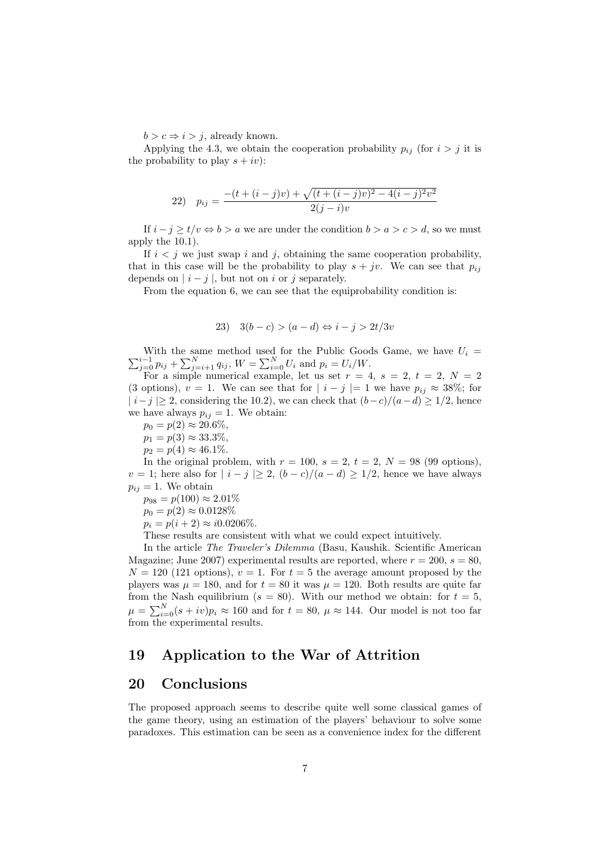$b > c \Rightarrow i > j$ , already known.

Applying the 4.3, we obtain the cooperation probability  $p_{ij}$  (for  $i > j$  it is the probability to play  $s + iv$ :

22) 
$$
p_{ij} = \frac{-(t + (i - j)v) + \sqrt{(t + (i - j)v)^2 - 4(i - j)^2 v^2}}{2(j - i)v}
$$

If  $i - j \ge t/v \Leftrightarrow b > a$  we are under the condition  $b > a > c > d$ , so we must apply the 10.1).

If  $i < j$  we just swap i and j, obtaining the same cooperation probability, that in this case will be the probability to play  $s + jv$ . We can see that  $p_{ij}$ depends on  $|i-j|$ , but not on i or j separately.

From the equation 6, we can see that the equiprobability condition is:

23) 
$$
3(b-c) > (a-d) \Leftrightarrow i-j > 2t/3v
$$

 $\sum_{j=0}^{i-1} p_{ij} + \sum_{j=i+1}^{N} q_{ij}$ ,  $W = \sum_{i=0}^{N} U_i$  and  $p_i = U_i/W$ . With the same method used for the Public Goods Game, we have  $U_i =$ 

For a simple numerical example, let us set  $r = 4$ ,  $s = 2$ ,  $t = 2$ ,  $N = 2$ (3 options),  $v = 1$ . We can see that for  $|i - j| = 1$  we have  $p_{ij} \approx 38\%$ ; for  $|i-j| \geq 2$ , considering the 10.2), we can check that  $(b-c)/(a-d) \geq 1/2$ , hence we have always  $p_{ij} = 1$ . We obtain:

$$
p_0 = p(2) \approx 20.6\%,
$$

 $p_1 = p(3) \approx 33.3\%,$ 

$$
p_2 = p(4) \approx 46.1\%.
$$

In the original problem, with  $r = 100$ ,  $s = 2$ ,  $t = 2$ ,  $N = 98$  (99 options),  $v = 1$ ; here also for  $|i - j| \ge 2$ ,  $(b - c)/(a - d) \ge 1/2$ , hence we have always  $p_{ij} = 1$ . We obtain

$$
p_{98} = p(100) \approx 2.01\%
$$

 $p_0 = p(2) \approx 0.0128\%$ 

$$
p_i = p(i + 2) \approx i0.0206\%.
$$

These results are consistent with what we could expect intuitively.

In the article The Traveler's Dilemma (Basu, Kaushik. Scientific American Magazine; June 2007) experimental results are reported, where  $r = 200$ ,  $s = 80$ ,  $N = 120$  (121 options),  $v = 1$ . For  $t = 5$  the average amount proposed by the players was  $\mu = 180$ , and for  $t = 80$  it was  $\mu = 120$ . Both results are quite far from the Nash equilibrium ( $s = 80$ ). With our method we obtain: for  $t = 5$ ,  $\mu = \sum_{i=0}^{N} (s+iv)p_i \approx 160$  and for  $t = 80$ ,  $\mu \approx 144$ . Our model is not too far from the experimental results.

#### 19 Application to the War of Attrition

#### 20 Conclusions

The proposed approach seems to describe quite well some classical games of the game theory, using an estimation of the players' behaviour to solve some paradoxes. This estimation can be seen as a convenience index for the different